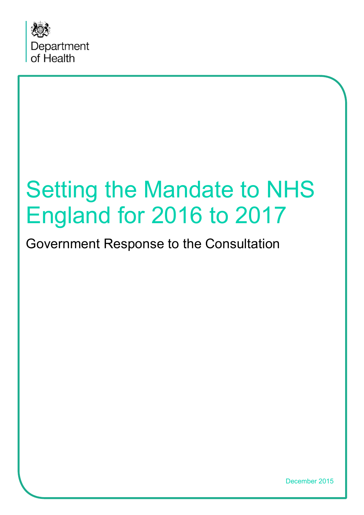

# Government Response to the Consultation

December 2015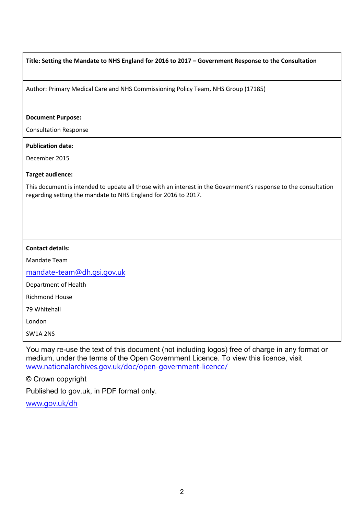| Title: Setting the Mandate to NHS England for 2016 to 2017 - Government Response to the Consultation |  |
|------------------------------------------------------------------------------------------------------|--|
|------------------------------------------------------------------------------------------------------|--|

Author: Primary Medical Care and NHS Commissioning Policy Team, NHS Group (17185)

#### **Document Purpose:**

Consultation Response

#### **Publication date:**

December 2015

#### **Target audience:**

This document is intended to update all those with an interest in the Government's response to the consultation regarding setting the mandate to NHS England for 2016 to 2017.

#### **Contact details:**

Mandate Team

[mandate-team@dh.gsi.gov.uk](mailto:mandate-team@dh.gsi.gov.uk)

Department of Health

Richmond House

79 Whitehall

London

SW1A 2NS

You may re-use the text of this document (not including logos) free of charge in any format or medium, under the terms of the Open Government Licence. To view this licence, visit [www.nationalarchives.gov.uk/doc/open-government-licence/](http://www.nationalarchives.gov.uk/doc/open-government-licence/)

#### © Crown copyright

Published to gov.uk, in PDF format only.

<span id="page-1-0"></span>[www.gov.uk/dh](http://www.gov.uk/dh)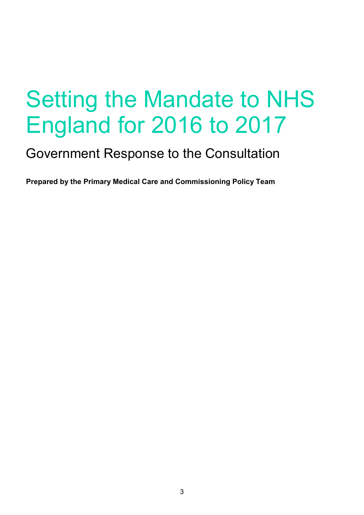# Government Response to the Consultation

**Prepared by the Primary Medical Care and Commissioning Policy Team**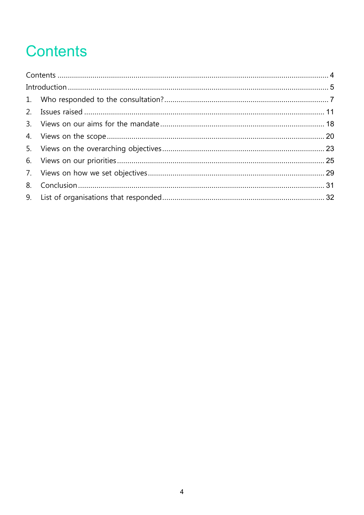# <span id="page-3-0"></span>**Contents**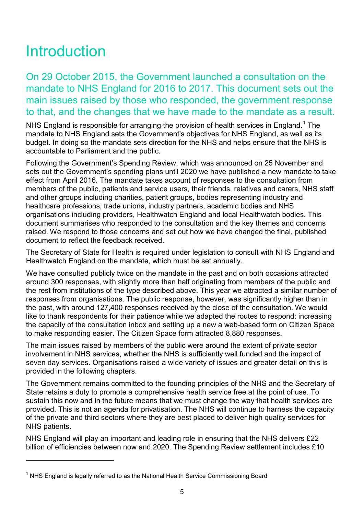# <span id="page-4-0"></span>**Introduction**

 $\overline{a}$ 

On 29 October 2015, the Government launched a consultation on the mandate to NHS England for 2016 to 2017. This document sets out the main issues raised by those who responded, the government response to that, and the changes that we have made to the mandate as a result.

NHS England is responsible for arranging the provision of health services in England.<sup>[1](#page-1-0)</sup> The mandate to NHS England sets the Government's objectives for NHS England, as well as its budget. In doing so the mandate sets direction for the NHS and helps ensure that the NHS is accountable to Parliament and the public.

Following the Government's Spending Review, which was announced on 25 November and sets out the Government's spending plans until 2020 we have published a new mandate to take effect from April 2016. The mandate takes account of responses to the consultation from members of the public, patients and service users, their friends, relatives and carers, NHS staff and other groups including charities, patient groups, bodies representing industry and healthcare professions, trade unions, industry partners, academic bodies and NHS organisations including providers, Healthwatch England and local Healthwatch bodies. This document summarises who responded to the consultation and the key themes and concerns raised. We respond to those concerns and set out how we have changed the final, published document to reflect the feedback received.

The Secretary of State for Health is required under legislation to consult with NHS England and Healthwatch England on the mandate, which must be set annually.

We have consulted publicly twice on the mandate in the past and on both occasions attracted around 300 responses, with slightly more than half originating from members of the public and the rest from institutions of the type described above. This year we attracted a similar number of responses from organisations. The public response, however, was significantly higher than in the past, with around 127,400 responses received by the close of the consultation. We would like to thank respondents for their patience while we adapted the routes to respond: increasing the capacity of the consultation inbox and setting up a new a web-based form on Citizen Space to make responding easier. The Citizen Space form attracted 8,880 responses.

The main issues raised by members of the public were around the extent of private sector involvement in NHS services, whether the NHS is sufficiently well funded and the impact of seven day services. Organisations raised a wide variety of issues and greater detail on this is provided in the following chapters.

The Government remains committed to the founding principles of the NHS and the Secretary of State retains a duty to promote a comprehensive health service free at the point of use. To sustain this now and in the future means that we must change the way that health services are provided. This is not an agenda for privatisation. The NHS will continue to harness the capacity of the private and third sectors where they are best placed to deliver high quality services for NHS patients.

NHS England will play an important and leading role in ensuring that the NHS delivers £22 billion of efficiencies between now and 2020. The Spending Review settlement includes £10

<span id="page-4-1"></span> $1$  NHS England is legally referred to as the National Health Service Commissioning Board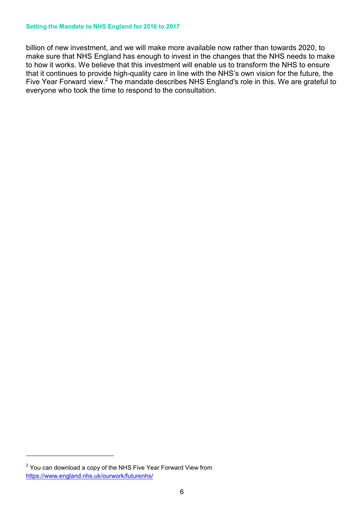billion of new investment, and we will make more available now rather than towards 2020, to make sure that NHS England has enough to invest in the changes that the NHS needs to make to how it works. We believe that this investment will enable us to transform the NHS to ensure that it continues to provide high-quality care in line with the NHS's own vision for the future, the Five Year Forward view.<sup>[2](#page-4-1)</sup> The mandate describes NHS England's role in this. We are grateful to everyone who took the time to respond to the consultation.

 $\overline{a}$ 

<span id="page-5-0"></span> $2$  You can download a copy of the NHS Five Year Forward View from <https://www.england.nhs.uk/ourwork/futurenhs/>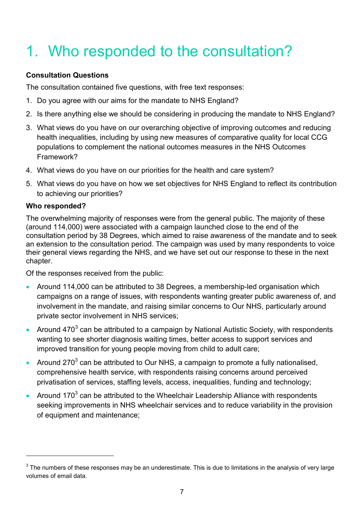# <span id="page-6-0"></span>1. Who responded to the consultation?

# **Consultation Questions**

The consultation contained five questions, with free text responses:

- 1. Do you agree with our aims for the mandate to NHS England?
- 2. Is there anything else we should be considering in producing the mandate to NHS England?
- 3. What views do you have on our overarching objective of improving outcomes and reducing health inequalities, including by using new measures of comparative quality for local CCG populations to complement the national outcomes measures in the NHS Outcomes Framework?
- 4. What views do you have on our priorities for the health and care system?
- 5. What views do you have on how we set objectives for NHS England to reflect its contribution to achieving our priorities?

# **Who responded?**

 $\overline{a}$ 

The overwhelming majority of responses were from the general public. The majority of these (around 114,000) were associated with a campaign launched close to the end of the consultation period by 38 Degrees, which aimed to raise awareness of the mandate and to seek an extension to the consultation period. The campaign was used by many respondents to voice their general views regarding the NHS, and we have set out our response to these in the next chapter.

Of the responses received from the public:

- Around 114,000 can be attributed to 38 Degrees, a membership-led organisation which campaigns on a range of issues, with respondents wanting greater public awareness of, and involvement in the mandate, and raising similar concerns to Our NHS, particularly around private sector involvement in NHS services;
- Around 470<sup>[3](#page-5-0)</sup> can be attributed to a campaign by National Autistic Society, with respondents wanting to see shorter diagnosis waiting times, better access to support services and improved transition for young people moving from child to adult care;
- Around 270 $^3$  can be attributed to Our NHS, a campaign to promote a fully nationalised, comprehensive health service, with respondents raising concerns around perceived privatisation of services, staffing levels, access, inequalities, funding and technology;
- Around 170 $3$  can be attributed to the Wheelchair Leadership Alliance with respondents seeking improvements in NHS wheelchair services and to reduce variability in the provision of equipment and maintenance;

<span id="page-6-1"></span> $3$  The numbers of these responses may be an underestimate. This is due to limitations in the analysis of very large volumes of email data.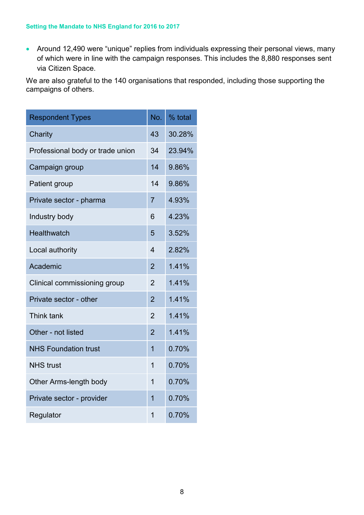• Around 12,490 were "unique" replies from individuals expressing their personal views, many of which were in line with the campaign responses. This includes the 8,880 responses sent via Citizen Space.

We are also grateful to the 140 organisations that responded, including those supporting the campaigns of others.

| <b>Respondent Types</b>          | No.            | % total |
|----------------------------------|----------------|---------|
| Charity                          | 43             | 30.28%  |
| Professional body or trade union | 34             | 23.94%  |
| Campaign group                   | 14             | 9.86%   |
| Patient group                    | 14             | 9.86%   |
| Private sector - pharma          | $\overline{7}$ | 4.93%   |
| Industry body                    | 6              | 4.23%   |
| <b>Healthwatch</b>               | 5              | 3.52%   |
| Local authority                  | 4              | 2.82%   |
| Academic                         | $\overline{2}$ | 1.41%   |
| Clinical commissioning group     | $\overline{2}$ | 1.41%   |
| Private sector - other           | $\overline{2}$ | 1.41%   |
| Think tank                       | $\overline{2}$ | 1.41%   |
| Other - not listed               | $\overline{2}$ | 1.41%   |
| <b>NHS Foundation trust</b>      | $\overline{1}$ | 0.70%   |
| <b>NHS trust</b>                 | $\overline{1}$ | 0.70%   |
| Other Arms-length body           | 1              | 0.70%   |
| Private sector - provider        | 1              | 0.70%   |
| Regulator                        | 1              | 0.70%   |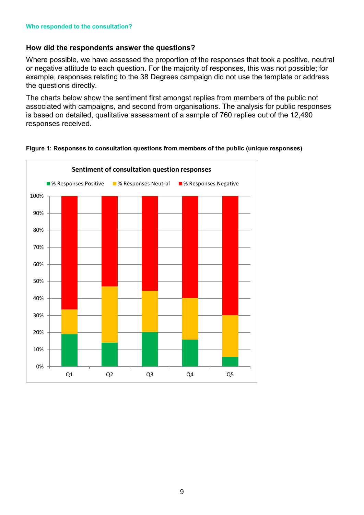# **How did the respondents answer the questions?**

Where possible, we have assessed the proportion of the responses that took a positive, neutral or negative attitude to each question. For the majority of responses, this was not possible; for example, responses relating to the 38 Degrees campaign did not use the template or address the questions directly.

The charts below show the sentiment first amongst replies from members of the public not associated with campaigns, and second from organisations. The analysis for public responses is based on detailed, qualitative assessment of a sample of 760 replies out of the 12,490 responses received.



#### **Figure 1: Responses to consultation questions from members of the public (unique responses)**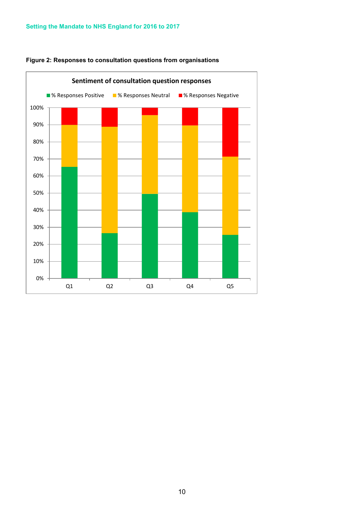

#### **Figure 2: Responses to consultation questions from organisations**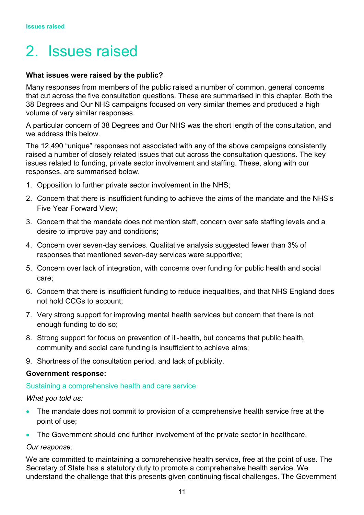# <span id="page-10-0"></span>2. Issues raised

#### **What issues were raised by the public?**

Many responses from members of the public raised a number of common, general concerns that cut across the five consultation questions. These are summarised in this chapter. Both the 38 Degrees and Our NHS campaigns focused on very similar themes and produced a high volume of very similar responses.

A particular concern of 38 Degrees and Our NHS was the short length of the consultation, and we address this below.

The 12,490 "unique" responses not associated with any of the above campaigns consistently raised a number of closely related issues that cut across the consultation questions. The key issues related to funding, private sector involvement and staffing. These, along with our responses, are summarised below.

- 1. Opposition to further private sector involvement in the NHS;
- 2. Concern that there is insufficient funding to achieve the aims of the mandate and the NHS's Five Year Forward View;
- 3. Concern that the mandate does not mention staff, concern over safe staffing levels and a desire to improve pay and conditions;
- 4. Concern over seven-day services. Qualitative analysis suggested fewer than 3% of responses that mentioned seven-day services were supportive;
- 5. Concern over lack of integration, with concerns over funding for public health and social care;
- 6. Concern that there is insufficient funding to reduce inequalities, and that NHS England does not hold CCGs to account;
- 7. Very strong support for improving mental health services but concern that there is not enough funding to do so;
- 8. Strong support for focus on prevention of ill-health, but concerns that public health, community and social care funding is insufficient to achieve aims;
- 9. Shortness of the consultation period, and lack of publicity.

#### **Government response:**

#### Sustaining a comprehensive health and care service

#### *What you told us:*

- The mandate does not commit to provision of a comprehensive health service free at the point of use;
- The Government should end further involvement of the private sector in healthcare.

#### *Our response:*

We are committed to maintaining a comprehensive health service, free at the point of use. The Secretary of State has a statutory duty to promote a comprehensive health service. We understand the challenge that this presents given continuing fiscal challenges. The Government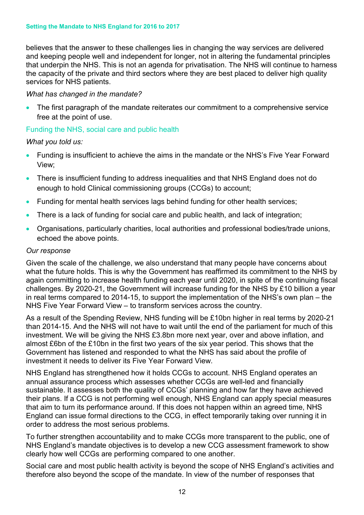believes that the answer to these challenges lies in changing the way services are delivered and keeping people well and independent for longer, not in altering the fundamental principles that underpin the NHS. This is not an agenda for privatisation. The NHS will continue to harness the capacity of the private and third sectors where they are best placed to deliver high quality services for NHS patients.

#### *What has changed in the mandate?*

• The first paragraph of the mandate reiterates our commitment to a comprehensive service free at the point of use.

### Funding the NHS, social care and public health

*What you told us:*

- Funding is insufficient to achieve the aims in the mandate or the NHS's Five Year Forward View;
- There is insufficient funding to address inequalities and that NHS England does not do enough to hold Clinical commissioning groups (CCGs) to account;
- Funding for mental health services lags behind funding for other health services;
- There is a lack of funding for social care and public health, and lack of integration;
- Organisations, particularly charities, local authorities and professional bodies/trade unions, echoed the above points.

#### *Our response*

Given the scale of the challenge, we also understand that many people have concerns about what the future holds. This is why the Government has reaffirmed its commitment to the NHS by again committing to increase health funding each year until 2020, in spite of the continuing fiscal challenges. By 2020-21, the Government will increase funding for the NHS by £10 billion a year in real terms compared to 2014-15, to support the implementation of the NHS's own plan – the NHS Five Year Forward View – to transform services across the country.

As a result of the Spending Review, NHS funding will be £10bn higher in real terms by 2020-21 than 2014-15. And the NHS will not have to wait until the end of the parliament for much of this investment. We will be giving the NHS £3.8bn more next year, over and above inflation, and almost £6bn of the £10bn in the first two years of the six year period. This shows that the Government has listened and responded to what the NHS has said about the profile of investment it needs to deliver its Five Year Forward View.

NHS England has strengthened how it holds CCGs to account. NHS England operates an annual assurance process which assesses whether CCGs are well-led and financially sustainable. It assesses both the quality of CCGs' planning and how far they have achieved their plans. If a CCG is not performing well enough, NHS England can apply special measures that aim to turn its performance around. If this does not happen within an agreed time, NHS England can issue formal directions to the CCG, in effect temporarily taking over running it in order to address the most serious problems.

To further strengthen accountability and to make CCGs more transparent to the public, one of NHS England's mandate objectives is to develop a new CCG assessment framework to show clearly how well CCGs are performing compared to one another.

Social care and most public health activity is beyond the scope of NHS England's activities and therefore also beyond the scope of the mandate. In view of the number of responses that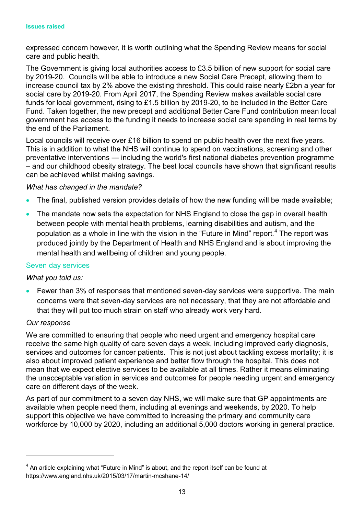expressed concern however, it is worth outlining what the Spending Review means for social care and public health.

The Government is giving local authorities access to £3.5 billion of new support for social care by 2019-20. Councils will be able to introduce a new Social Care Precept, allowing them to increase council tax by 2% above the existing threshold. This could raise nearly £2bn a year for social care by 2019-20. From April 2017, the Spending Review makes available social care funds for local government, rising to £1.5 billion by 2019-20, to be included in the Better Care Fund. Taken together, the new precept and additional Better Care Fund contribution mean local government has access to the funding it needs to increase social care spending in real terms by the end of the Parliament.

Local councils will receive over £16 billion to spend on public health over the next five years. This is in addition to what the NHS will continue to spend on vaccinations, screening and other preventative interventions — including the world's first national diabetes prevention programme – and our childhood obesity strategy. The best local councils have shown that significant results can be achieved whilst making savings.

### *What has changed in the mandate?*

- The final, published version provides details of how the new funding will be made available;
- The mandate now sets the expectation for NHS England to close the gap in overall health between people with mental health problems, learning disabilities and autism, and the population as a whole in line with the vision in the "Future in Mind" report*.* [4](#page-6-1) The report was produced jointly by the Department of Health and NHS England and is about improving the mental health and wellbeing of children and young people.

### Seven day services

### *What you told us:*

• Fewer than 3% of responses that mentioned seven-day services were supportive. The main concerns were that seven-day services are not necessary, that they are not affordable and that they will put too much strain on staff who already work very hard.

#### *Our response*

 $\overline{a}$ 

We are committed to ensuring that people who need urgent and emergency hospital care receive the same high quality of care seven days a week, including improved early diagnosis, services and outcomes for cancer patients. This is not just about tackling excess mortality; it is also about improved patient experience and better flow through the hospital. This does not mean that we expect elective services to be available at all times. Rather it means eliminating the unacceptable variation in services and outcomes for people needing urgent and emergency care on different days of the week.

As part of our commitment to a seven day NHS, we will make sure that GP appointments are available when people need them, including at evenings and weekends, by 2020. To help support this objective we have committed to increasing the primary and community care workforce by 10,000 by 2020, including an additional 5,000 doctors working in general practice.

<span id="page-12-0"></span> $4$  An article explaining what "Future in Mind" is about, and the report itself can be found at https://www.england.nhs.uk/2015/03/17/martin-mcshane-14/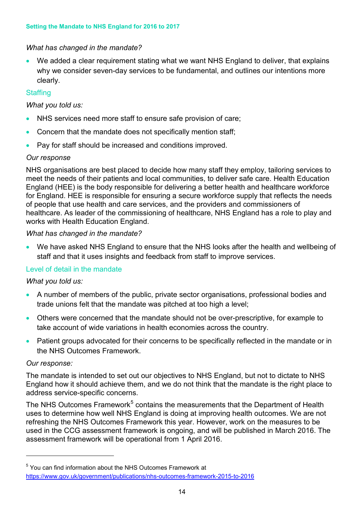# *What has changed in the mandate?*

• We added a clear requirement stating what we want NHS England to deliver, that explains why we consider seven-day services to be fundamental, and outlines our intentions more clearly.

# **Staffing**

*What you told us:*

- NHS services need more staff to ensure safe provision of care;
- Concern that the mandate does not specifically mention staff;
- Pay for staff should be increased and conditions improved.

# *Our response*

NHS organisations are best placed to decide how many staff they employ, tailoring services to meet the needs of their patients and local communities, to deliver safe care. Health Education England (HEE) is the body responsible for delivering a better health and healthcare workforce for England. HEE is responsible for ensuring a secure workforce supply that reflects the needs of people that use health and care services, and the providers and commissioners of healthcare. As leader of the commissioning of healthcare, NHS England has a role to play and works with Health Education England.

### *What has changed in the mandate?*

• We have asked NHS England to ensure that the NHS looks after the health and wellbeing of staff and that it uses insights and feedback from staff to improve services.

# Level of detail in the mandate

# *What you told us:*

- A number of members of the public, private sector organisations, professional bodies and trade unions felt that the mandate was pitched at too high a level;
- Others were concerned that the mandate should not be over-prescriptive, for example to take account of wide variations in health economies across the country.
- Patient groups advocated for their concerns to be specifically reflected in the mandate or in the NHS Outcomes Framework.

### *Our response:*

 $\overline{a}$ 

The mandate is intended to set out our objectives to NHS England, but not to dictate to NHS England how it should achieve them, and we do not think that the mandate is the right place to address service-specific concerns.

The NHS Outcomes Framework<sup>[5](#page-12-0)</sup> contains the measurements that the Department of Health uses to determine how well NHS England is doing at improving health outcomes. We are not refreshing the NHS Outcomes Framework this year. However, work on the measures to be used in the CCG assessment framework is ongoing, and will be published in March 2016. The assessment framework will be operational from 1 April 2016.

<span id="page-13-0"></span><sup>5</sup> You can find information about the NHS Outcomes Framework at <https://www.gov.uk/government/publications/nhs-outcomes-framework-2015-to-2016>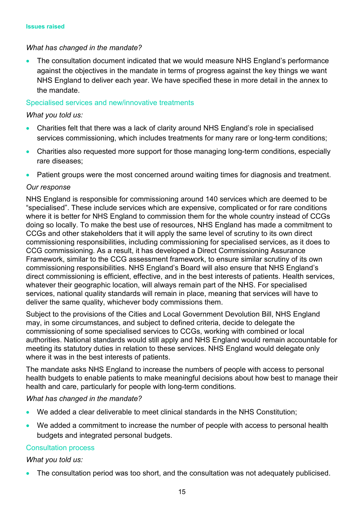### *What has changed in the mandate?*

• The consultation document indicated that we would measure NHS England's performance against the objectives in the mandate in terms of progress against the key things we want NHS England to deliver each year. We have specified these in more detail in the annex to the mandate.

### Specialised services and new/innovative treatments

### *What you told us:*

- Charities felt that there was a lack of clarity around NHS England's role in specialised services commissioning, which includes treatments for many rare or long-term conditions;
- Charities also requested more support for those managing long-term conditions, especially rare diseases;
- Patient groups were the most concerned around waiting times for diagnosis and treatment.

### *Our response*

NHS England is responsible for commissioning around 140 services which are deemed to be "specialised". These include services which are expensive, complicated or for rare conditions where it is better for NHS England to commission them for the whole country instead of CCGs doing so locally. To make the best use of resources, NHS England has made a commitment to CCGs and other stakeholders that it will apply the same level of scrutiny to its own direct commissioning responsibilities, including commissioning for specialised services, as it does to CCG commissioning. As a result, it has developed a Direct Commissioning Assurance Framework, similar to the CCG assessment framework, to ensure similar scrutiny of its own commissioning responsibilities. NHS England's Board will also ensure that NHS England's direct commissioning is efficient, effective, and in the best interests of patients. Health services, whatever their geographic location, will always remain part of the NHS. For specialised services, national quality standards will remain in place, meaning that services will have to deliver the same quality, whichever body commissions them.

Subject to the provisions of the Cities and Local Government Devolution Bill, NHS England may, in some circumstances, and subject to defined criteria, decide to delegate the commissioning of some specialised services to CCGs, working with combined or local authorities. National standards would still apply and NHS England would remain accountable for meeting its statutory duties in relation to these services. NHS England would delegate only where it was in the best interests of patients.

The mandate asks NHS England to increase the numbers of people with access to personal health budgets to enable patients to make meaningful decisions about how best to manage their health and care, particularly for people with long-term conditions.

### *What has changed in the mandate?*

- We added a clear deliverable to meet clinical standards in the NHS Constitution;
- We added a commitment to increase the number of people with access to personal health budgets and integrated personal budgets.

### Consultation process

### *What you told us:*

• The consultation period was too short, and the consultation was not adequately publicised.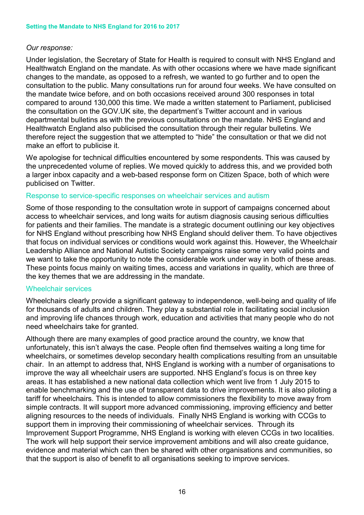#### *Our response:*

Under legislation, the Secretary of State for Health is required to consult with NHS England and Healthwatch England on the mandate. As with other occasions where we have made significant changes to the mandate, as opposed to a refresh, we wanted to go further and to open the consultation to the public. Many consultations run for around four weeks. We have consulted on the mandate twice before, and on both occasions received around 300 responses in total compared to around 130,000 this time. We made a written statement to Parliament, publicised the consultation on the GOV.UK site, the department's Twitter account and in various departmental bulletins as with the previous consultations on the mandate. NHS England and Healthwatch England also publicised the consultation through their regular bulletins. We therefore reject the suggestion that we attempted to "hide" the consultation or that we did not make an effort to publicise it.

We apologise for technical difficulties encountered by some respondents. This was caused by the unprecedented volume of replies. We moved quickly to address this, and we provided both a larger inbox capacity and a web-based response form on Citizen Space, both of which were publicised on Twitter.

#### Response to service-specific responses on wheelchair services and autism

Some of those responding to the consultation wrote in support of campaigns concerned about access to wheelchair services, and long waits for autism diagnosis causing serious difficulties for patients and their families. The mandate is a strategic document outlining our key objectives for NHS England without prescribing how NHS England should deliver them. To have objectives that focus on individual services or conditions would work against this. However, the Wheelchair Leadership Alliance and National Autistic Society campaigns raise some very valid points and we want to take the opportunity to note the considerable work under way in both of these areas. These points focus mainly on waiting times, access and variations in quality, which are three of the key themes that we are addressing in the mandate.

#### Wheelchair services

Wheelchairs clearly provide a significant gateway to independence, well-being and quality of life for thousands of adults and children. They play a substantial role in facilitating social inclusion and improving life chances through work, education and activities that many people who do not need wheelchairs take for granted.

Although there are many examples of good practice around the country, we know that unfortunately, this isn't always the case. People often find themselves waiting a long time for wheelchairs, or sometimes develop secondary health complications resulting from an unsuitable chair. In an attempt to address that, NHS England is working with a number of organisations to improve the way all wheelchair users are supported. NHS England's focus is on three key areas. It has established a new national data collection which went live from 1 July 2015 to enable benchmarking and the use of transparent data to drive improvements. It is also piloting a tariff for wheelchairs. This is intended to allow commissioners the flexibility to move away from simple contracts. It will support more advanced commissioning, improving efficiency and better aligning resources to the needs of individuals. Finally NHS England is working with CCGs to support them in improving their commissioning of wheelchair services. Through its Improvement Support Programme, NHS England is working with eleven CCGs in two localities. The work will help support their service improvement ambitions and will also create guidance, evidence and material which can then be shared with other organisations and communities, so that the support is also of benefit to all organisations seeking to improve services.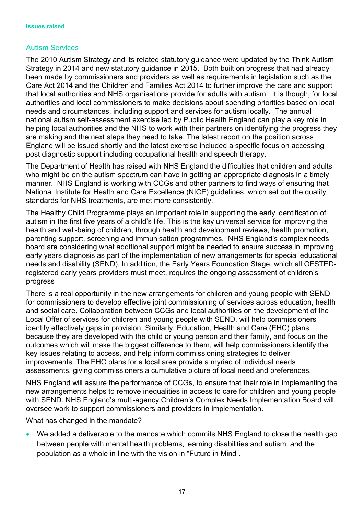# Autism Services

The 2010 Autism Strategy and its related statutory guidance were updated by the Think Autism Strategy in 2014 and new statutory guidance in 2015. Both built on progress that had already been made by commissioners and providers as well as requirements in legislation such as the Care Act 2014 and the Children and Families Act 2014 to further improve the care and support that local authorities and NHS organisations provide for adults with autism. It is though, for local authorities and local commissioners to make decisions about spending priorities based on local needs and circumstances, including support and services for autism locally. The annual national autism self-assessment exercise led by Public Health England can play a key role in helping local authorities and the NHS to work with their partners on identifying the progress they are making and the next steps they need to take. The latest report on the position across England will be issued shortly and the latest exercise included a specific focus on accessing post diagnostic support including occupational health and speech therapy.

The Department of Health has raised with NHS England the difficulties that children and adults who might be on the autism spectrum can have in getting an appropriate diagnosis in a timely manner. NHS England is working with CCGs and other partners to find ways of ensuring that National Institute for Health and Care Excellence (NICE) guidelines, which set out the quality standards for NHS treatments, are met more consistently.

The Healthy Child Programme plays an important role in supporting the early identification of autism in the first five years of a child's life. This is the key universal service for improving the health and well-being of children, through health and development reviews, health promotion, parenting support, screening and immunisation programmes. NHS England's complex needs board are considering what additional support might be needed to ensure success in improving early years diagnosis as part of the implementation of new arrangements for special educational needs and disability (SEND). In addition, the Early Years Foundation Stage, which all OFSTEDregistered early years providers must meet, requires the ongoing assessment of children's progress

There is a real opportunity in the new arrangements for children and young people with SEND for commissioners to develop effective joint commissioning of services across education, health and social care. Collaboration between CCGs and local authorities on the development of the Local Offer of services for children and young people with SEND, will help commissioners identify effectively gaps in provision. Similarly, Education, Health and Care (EHC) plans, because they are developed with the child or young person and their family, and focus on the outcomes which will make the biggest difference to them, will help commissioners identify the key issues relating to access, and help inform commissioning strategies to deliver improvements. The EHC plans for a local area provide a myriad of individual needs assessments, giving commissioners a cumulative picture of local need and preferences.

NHS England will assure the performance of CCGs, to ensure that their role in implementing the new arrangements helps to remove inequalities in access to care for children and young people with SEND. NHS England's multi-agency Children's Complex Needs Implementation Board will oversee work to support commissioners and providers in implementation.

What has changed in the mandate?

• We added a deliverable to the mandate which commits NHS England to close the health gap between people with mental health problems, learning disabilities and autism, and the population as a whole in line with the vision in "Future in Mind".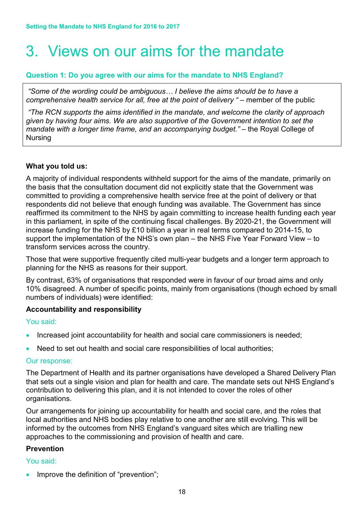# <span id="page-17-0"></span>3. Views on our aims for the mandate

### **Question 1: Do you agree with our aims for the mandate to NHS England?**

*"Some of the wording could be ambiguous… I believe the aims should be to have a comprehensive health service for all, free at the point of delivery " –* member of the public

*"The RCN supports the aims identified in the mandate, and welcome the clarity of approach given by having four aims. We are also supportive of the Government intention to set the mandate with a longer time frame, and an accompanying budget."* – the Royal College of Nursing

### **What you told us:**

A majority of individual respondents withheld support for the aims of the mandate, primarily on the basis that the consultation document did not explicitly state that the Government was committed to providing a comprehensive health service free at the point of delivery or that respondents did not believe that enough funding was available. The Government has since reaffirmed its commitment to the NHS by again committing to increase health funding each year in this parliament, in spite of the continuing fiscal challenges. By 2020-21, the Government will increase funding for the NHS by £10 billion a year in real terms compared to 2014-15, to support the implementation of the NHS's own plan – the NHS Five Year Forward View – to transform services across the country.

Those that were supportive frequently cited multi-year budgets and a longer term approach to planning for the NHS as reasons for their support.

By contrast, 63% of organisations that responded were in favour of our broad aims and only 10% disagreed. A number of specific points, mainly from organisations (though echoed by small numbers of individuals) were identified:

### **Accountability and responsibility**

You said:

- Increased joint accountability for health and social care commissioners is needed;
- Need to set out health and social care responsibilities of local authorities:

### Our response:

The Department of Health and its partner organisations have developed a Shared Delivery Plan that sets out a single vision and plan for health and care. The mandate sets out NHS England's contribution to delivering this plan, and it is not intended to cover the roles of other organisations.

Our arrangements for joining up accountability for health and social care, and the roles that local authorities and NHS bodies play relative to one another are still evolving. This will be informed by the outcomes from NHS England's vanguard sites which are trialling new approaches to the commissioning and provision of health and care.

### **Prevention**

### You said:

Improve the definition of "prevention";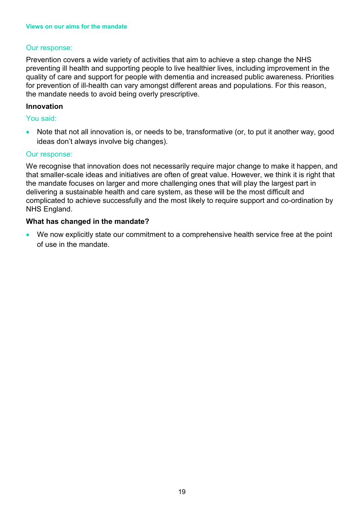### Our response:

Prevention covers a wide variety of activities that aim to achieve a step change the NHS preventing ill health and supporting people to live healthier lives, including improvement in the quality of care and support for people with dementia and increased public awareness. Priorities for prevention of ill-health can vary amongst different areas and populations. For this reason, the mandate needs to avoid being overly prescriptive.

### **Innovation**

#### You said:

• Note that not all innovation is, or needs to be, transformative (or, to put it another way, good ideas don't always involve big changes).

#### Our response:

We recognise that innovation does not necessarily require major change to make it happen, and that smaller-scale ideas and initiatives are often of great value. However, we think it is right that the mandate focuses on larger and more challenging ones that will play the largest part in delivering a sustainable health and care system, as these will be the most difficult and complicated to achieve successfully and the most likely to require support and co-ordination by NHS England.

### **What has changed in the mandate?**

• We now explicitly state our commitment to a comprehensive health service free at the point of use in the mandate.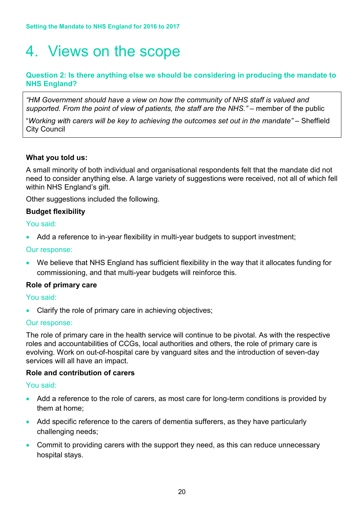# <span id="page-19-0"></span>4. Views on the scope

# **Question 2: Is there anything else we should be considering in producing the mandate to NHS England?**

*"HM Government should have a view on how the community of NHS staff is valued and*  supported. From the point of view of patients, the staff are the NHS." – member of the public

"*Working with carers will be key to achieving the outcomes set out in the mandate" –* Sheffield City Council

# **What you told us:**

A small minority of both individual and organisational respondents felt that the mandate did not need to consider anything else. A large variety of suggestions were received, not all of which fell within NHS England's gift.

Other suggestions included the following.

# **Budget flexibility**

You said:

• Add a reference to in-year flexibility in multi-year budgets to support investment;

### Our response:

• We believe that NHS England has sufficient flexibility in the way that it allocates funding for commissioning, and that multi-year budgets will reinforce this.

### **Role of primary care**

#### You said:

Clarify the role of primary care in achieving objectives;

#### Our response:

The role of primary care in the health service will continue to be pivotal. As with the respective roles and accountabilities of CCGs, local authorities and others, the role of primary care is evolving. Work on out-of-hospital care by vanguard sites and the introduction of seven-day services will all have an impact.

#### **Role and contribution of carers**

### You said:

- Add a reference to the role of carers, as most care for long-term conditions is provided by them at home;
- Add specific reference to the carers of dementia sufferers, as they have particularly challenging needs;
- Commit to providing carers with the support they need, as this can reduce unnecessary hospital stays.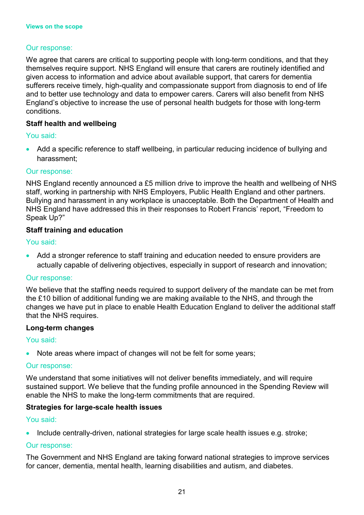# Our response:

We agree that carers are critical to supporting people with long-term conditions, and that they themselves require support. NHS England will ensure that carers are routinely identified and given access to information and advice about available support, that carers for dementia sufferers receive timely, high-quality and compassionate support from diagnosis to end of life and to better use technology and data to empower carers. Carers will also benefit from NHS England's objective to increase the use of personal health budgets for those with long-term conditions.

### **Staff health and wellbeing**

### You said:

• Add a specific reference to staff wellbeing, in particular reducing incidence of bullying and harassment;

#### Our response:

NHS England recently announced a £5 million drive to improve the health and wellbeing of NHS staff, working in partnership with NHS Employers, Public Health England and other partners. Bullying and harassment in any workplace is unacceptable. Both the Department of Health and NHS England have addressed this in their responses to Robert Francis' report, "Freedom to Speak Up?"

### **Staff training and education**

#### You said:

• Add a stronger reference to staff training and education needed to ensure providers are actually capable of delivering objectives, especially in support of research and innovation;

#### Our response:

We believe that the staffing needs required to support delivery of the mandate can be met from the £10 billion of additional funding we are making available to the NHS, and through the changes we have put in place to enable Health Education England to deliver the additional staff that the NHS requires.

#### **Long-term changes**

### You said:

• Note areas where impact of changes will not be felt for some years;

#### Our response:

We understand that some initiatives will not deliver benefits immediately, and will require sustained support. We believe that the funding profile announced in the Spending Review will enable the NHS to make the long-term commitments that are required.

### **Strategies for large-scale health issues**

#### You said:

• Include centrally-driven, national strategies for large scale health issues e.g. stroke;

### Our response:

The Government and NHS England are taking forward national strategies to improve services for cancer, dementia, mental health, learning disabilities and autism, and diabetes.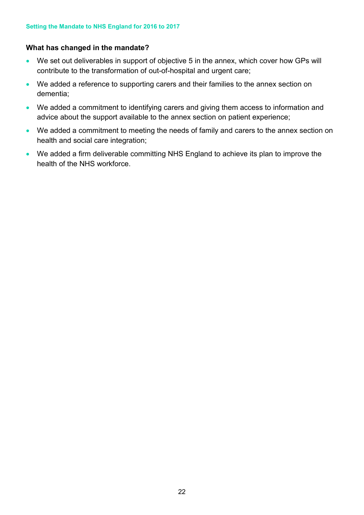# **What has changed in the mandate?**

- We set out deliverables in support of objective 5 in the annex, which cover how GPs will contribute to the transformation of out-of-hospital and urgent care;
- We added a reference to supporting carers and their families to the annex section on dementia;
- We added a commitment to identifying carers and giving them access to information and advice about the support available to the annex section on patient experience;
- We added a commitment to meeting the needs of family and carers to the annex section on health and social care integration;
- We added a firm deliverable committing NHS England to achieve its plan to improve the health of the NHS workforce.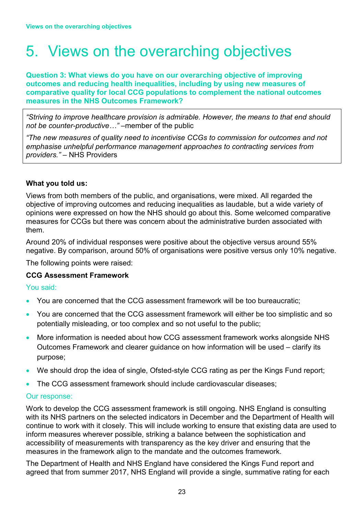# <span id="page-22-0"></span>5. Views on the overarching objectives

#### **Question 3: What views do you have on our overarching objective of improving outcomes and reducing health inequalities, including by using new measures of comparative quality for local CCG populations to complement the national outcomes measures in the NHS Outcomes Framework?**

*"Striving to improve healthcare provision is admirable. However, the means to that end should not be counter-productive…"* –member of the public

*"The new measures of quality need to incentivise CCGs to commission for outcomes and not emphasise unhelpful performance management approaches to contracting services from providers."* – NHS Providers

# **What you told us:**

Views from both members of the public, and organisations, were mixed. All regarded the objective of improving outcomes and reducing inequalities as laudable, but a wide variety of opinions were expressed on how the NHS should go about this. Some welcomed comparative measures for CCGs but there was concern about the administrative burden associated with them.

Around 20% of individual responses were positive about the objective versus around 55% negative. By comparison, around 50% of organisations were positive versus only 10% negative.

The following points were raised:

### **CCG Assessment Framework**

### You said:

- You are concerned that the CCG assessment framework will be too bureaucratic;
- You are concerned that the CCG assessment framework will either be too simplistic and so potentially misleading, or too complex and so not useful to the public;
- More information is needed about how CCG assessment framework works alongside NHS Outcomes Framework and clearer guidance on how information will be used – clarify its purpose;
- We should drop the idea of single, Ofsted-style CCG rating as per the Kings Fund report;
- The CCG assessment framework should include cardiovascular diseases;

### Our response:

Work to develop the CCG assessment framework is still ongoing. NHS England is consulting with its NHS partners on the selected indicators in December and the Department of Health will continue to work with it closely. This will include working to ensure that existing data are used to inform measures wherever possible, striking a balance between the sophistication and accessibility of measurements with transparency as the key driver and ensuring that the measures in the framework align to the mandate and the outcomes framework.

The Department of Health and NHS England have considered the Kings Fund report and agreed that from summer 2017, NHS England will provide a single, summative rating for each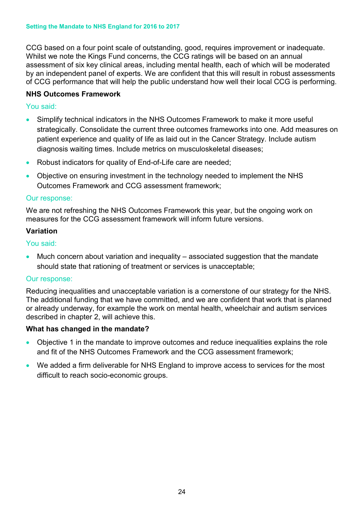CCG based on a four point scale of outstanding, good, requires improvement or inadequate. Whilst we note the Kings Fund concerns, the CCG ratings will be based on an annual assessment of six key clinical areas, including mental health, each of which will be moderated by an independent panel of experts. We are confident that this will result in robust assessments of CCG performance that will help the public understand how well their local CCG is performing.

# **NHS Outcomes Framework**

# You said:

- Simplify technical indicators in the NHS Outcomes Framework to make it more useful strategically. Consolidate the current three outcomes frameworks into one. Add measures on patient experience and quality of life as laid out in the Cancer Strategy. Include autism diagnosis waiting times. Include metrics on musculoskeletal diseases;
- Robust indicators for quality of End-of-Life care are needed;
- Objective on ensuring investment in the technology needed to implement the NHS Outcomes Framework and CCG assessment framework;

### Our response:

We are not refreshing the NHS Outcomes Framework this year, but the ongoing work on measures for the CCG assessment framework will inform future versions.

### **Variation**

You said:

• Much concern about variation and inequality – associated suggestion that the mandate should state that rationing of treatment or services is unacceptable;

### Our response:

Reducing inequalities and unacceptable variation is a cornerstone of our strategy for the NHS. The additional funding that we have committed, and we are confident that work that is planned or already underway, for example the work on mental health, wheelchair and autism services described in chapter 2, will achieve this.

### **What has changed in the mandate?**

- Objective 1 in the mandate to improve outcomes and reduce inequalities explains the role and fit of the NHS Outcomes Framework and the CCG assessment framework;
- We added a firm deliverable for NHS England to improve access to services for the most difficult to reach socio-economic groups.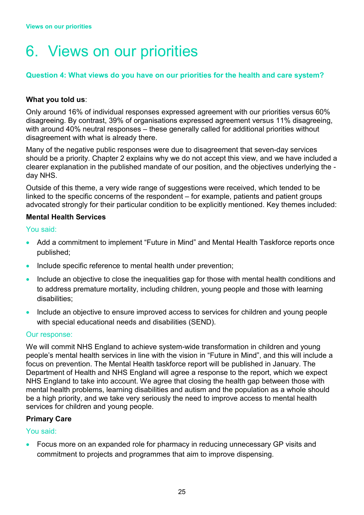# <span id="page-24-0"></span>6. Views on our priorities

# **Question 4: What views do you have on our priorities for the health and care system?**

### **What you told us**:

Only around 16% of individual responses expressed agreement with our priorities versus 60% disagreeing. By contrast, 39% of organisations expressed agreement versus 11% disagreeing, with around 40% neutral responses – these generally called for additional priorities without disagreement with what is already there.

Many of the negative public responses were due to disagreement that seven-day services should be a priority. Chapter 2 explains why we do not accept this view, and we have included a clearer explanation in the published mandate of our position, and the objectives underlying the day NHS.

Outside of this theme, a very wide range of suggestions were received, which tended to be linked to the specific concerns of the respondent – for example, patients and patient groups advocated strongly for their particular condition to be explicitly mentioned. Key themes included:

### **Mental Health Services**

### You said:

- Add a commitment to implement "Future in Mind" and Mental Health Taskforce reports once published;
- Include specific reference to mental health under prevention;
- Include an objective to close the inequalities gap for those with mental health conditions and to address premature mortality, including children, young people and those with learning disabilities;
- Include an objective to ensure improved access to services for children and young people with special educational needs and disabilities (SEND).

### Our response:

We will commit NHS England to achieve system-wide transformation in children and young people's mental health services in line with the vision in "Future in Mind", and this will include a focus on prevention. The Mental Health taskforce report will be published in January. The Department of Health and NHS England will agree a response to the report, which we expect NHS England to take into account. We agree that closing the health gap between those with mental health problems, learning disabilities and autism and the population as a whole should be a high priority, and we take very seriously the need to improve access to mental health services for children and young people.

### **Primary Care**

### You said:

• Focus more on an expanded role for pharmacy in reducing unnecessary GP visits and commitment to projects and programmes that aim to improve dispensing.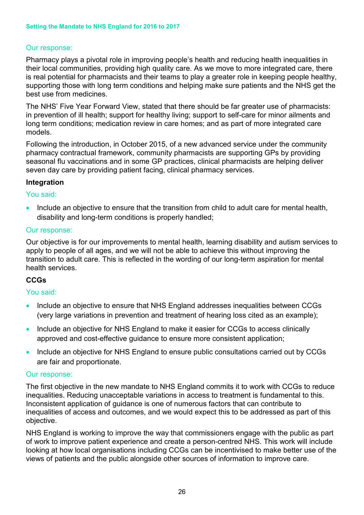# Our response:

Pharmacy plays a pivotal role in improving people's health and reducing health inequalities in their local communities, providing high quality care. As we move to more integrated care, there is real potential for pharmacists and their teams to play a greater role in keeping people healthy, supporting those with long term conditions and helping make sure patients and the NHS get the best use from medicines.

The NHS' Five Year Forward View, stated that there should be far greater use of pharmacists: in prevention of ill health; support for healthy living; support to self-care for minor ailments and long term conditions; medication review in care homes; and as part of more integrated care models.

Following the introduction, in October 2015, of a new advanced service under the community pharmacy contractual framework, community pharmacists are supporting GPs by providing seasonal flu vaccinations and in some GP practices, clinical pharmacists are helping deliver seven day care by providing patient facing, clinical pharmacy services.

### **Integration**

#### You said:

• Include an objective to ensure that the transition from child to adult care for mental health, disability and long-term conditions is properly handled;

#### Our response:

Our objective is for our improvements to mental health, learning disability and autism services to apply to people of all ages, and we will not be able to achieve this without improving the transition to adult care. This is reflected in the wording of our long-term aspiration for mental health services.

### **CCGs**

#### You said:

- Include an objective to ensure that NHS England addresses inequalities between CCGs (very large variations in prevention and treatment of hearing loss cited as an example);
- Include an objective for NHS England to make it easier for CCGs to access clinically approved and cost-effective guidance to ensure more consistent application;
- Include an objective for NHS England to ensure public consultations carried out by CCGs are fair and proportionate.

#### Our response:

The first objective in the new mandate to NHS England commits it to work with CCGs to reduce inequalities. Reducing unacceptable variations in access to treatment is fundamental to this. Inconsistent application of guidance is one of numerous factors that can contribute to inequalities of access and outcomes, and we would expect this to be addressed as part of this objective.

NHS England is working to improve the way that commissioners engage with the public as part of work to improve patient experience and create a person-centred NHS. This work will include looking at how local organisations including CCGs can be incentivised to make better use of the views of patients and the public alongside other sources of information to improve care.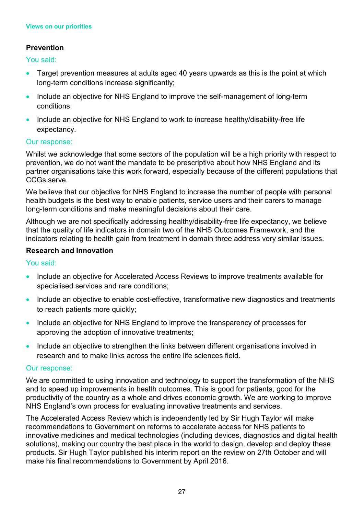# **Prevention**

You said:

- Target prevention measures at adults aged 40 years upwards as this is the point at which long-term conditions increase significantly;
- Include an objective for NHS England to improve the self-management of long-term conditions;
- Include an objective for NHS England to work to increase healthy/disability-free life expectancy.

# Our response:

Whilst we acknowledge that some sectors of the population will be a high priority with respect to prevention, we do not want the mandate to be prescriptive about how NHS England and its partner organisations take this work forward, especially because of the different populations that CCGs serve.

We believe that our objective for NHS England to increase the number of people with personal health budgets is the best way to enable patients, service users and their carers to manage long-term conditions and make meaningful decisions about their care.

Although we are not specifically addressing healthy/disability-free life expectancy, we believe that the quality of life indicators in domain two of the NHS Outcomes Framework, and the indicators relating to health gain from treatment in domain three address very similar issues.

# **Research and Innovation**

# You said:

- Include an objective for Accelerated Access Reviews to improve treatments available for specialised services and rare conditions;
- Include an objective to enable cost-effective, transformative new diagnostics and treatments to reach patients more quickly;
- Include an objective for NHS England to improve the transparency of processes for approving the adoption of innovative treatments;
- Include an objective to strengthen the links between different organisations involved in research and to make links across the entire life sciences field.

### Our response:

We are committed to using innovation and technology to support the transformation of the NHS and to speed up improvements in health outcomes. This is good for patients, good for the productivity of the country as a whole and drives economic growth. We are working to improve NHS England's own process for evaluating innovative treatments and services.

The Accelerated Access Review which is independently led by Sir Hugh Taylor will make recommendations to Government on reforms to accelerate access for NHS patients to innovative medicines and medical technologies (including devices, diagnostics and digital health solutions), making our country the best place in the world to design, develop and deploy these products. Sir Hugh Taylor published his interim report on the review on 27th October and will make his final recommendations to Government by April 2016.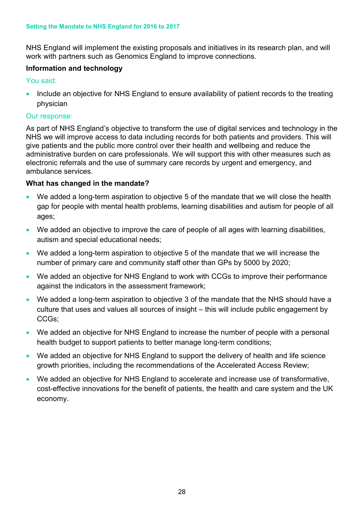NHS England will implement the existing proposals and initiatives in its research plan, and will work with partners such as Genomics England to improve connections.

# **Information and technology**

You said:

• Include an objective for NHS England to ensure availability of patient records to the treating physician

### Our response:

As part of NHS England's objective to transform the use of digital services and technology in the NHS we will improve access to data including records for both patients and providers. This will give patients and the public more control over their health and wellbeing and reduce the administrative burden on care professionals. We will support this with other measures such as electronic referrals and the use of summary care records by urgent and emergency, and ambulance services.

# **What has changed in the mandate?**

- We added a long-term aspiration to objective 5 of the mandate that we will close the health gap for people with mental health problems, learning disabilities and autism for people of all ages;
- We added an objective to improve the care of people of all ages with learning disabilities, autism and special educational needs;
- We added a long-term aspiration to objective 5 of the mandate that we will increase the number of primary care and community staff other than GPs by 5000 by 2020;
- We added an objective for NHS England to work with CCGs to improve their performance against the indicators in the assessment framework;
- We added a long-term aspiration to objective 3 of the mandate that the NHS should have a culture that uses and values all sources of insight – this will include public engagement by CCGs;
- We added an objective for NHS England to increase the number of people with a personal health budget to support patients to better manage long-term conditions;
- We added an objective for NHS England to support the delivery of health and life science growth priorities, including the recommendations of the Accelerated Access Review;
- We added an objective for NHS England to accelerate and increase use of transformative, cost-effective innovations for the benefit of patients, the health and care system and the UK economy.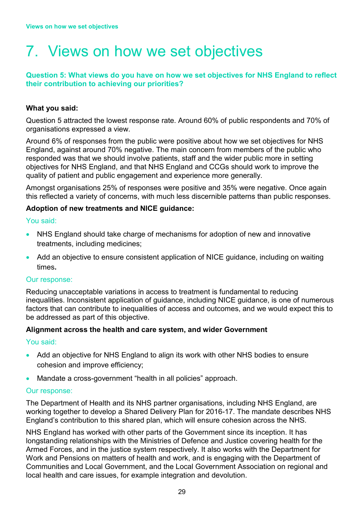# <span id="page-28-0"></span>7. Views on how we set objectives

# **Question 5: What views do you have on how we set objectives for NHS England to reflect their contribution to achieving our priorities?**

# **What you said:**

Question 5 attracted the lowest response rate. Around 60% of public respondents and 70% of organisations expressed a view.

Around 6% of responses from the public were positive about how we set objectives for NHS England, against around 70% negative. The main concern from members of the public who responded was that we should involve patients, staff and the wider public more in setting objectives for NHS England, and that NHS England and CCGs should work to improve the quality of patient and public engagement and experience more generally.

Amongst organisations 25% of responses were positive and 35% were negative. Once again this reflected a variety of concerns, with much less discernible patterns than public responses.

# **Adoption of new treatments and NICE guidance:**

You said:

- NHS England should take charge of mechanisms for adoption of new and innovative treatments, including medicines;
- Add an objective to ensure consistent application of NICE guidance, including on waiting times**.**

### Our response:

Reducing unacceptable variations in access to treatment is fundamental to reducing inequalities. Inconsistent application of guidance, including NICE guidance, is one of numerous factors that can contribute to inequalities of access and outcomes, and we would expect this to be addressed as part of this objective.

### **Alignment across the health and care system, and wider Government**

### You said:

- Add an objective for NHS England to align its work with other NHS bodies to ensure cohesion and improve efficiency;
- Mandate a cross-government "health in all policies" approach.

### Our response:

The Department of Health and its NHS partner organisations, including NHS England, are working together to develop a Shared Delivery Plan for 2016-17. The mandate describes NHS England's contribution to this shared plan, which will ensure cohesion across the NHS.

NHS England has worked with other parts of the Government since its inception. It has longstanding relationships with the Ministries of Defence and Justice covering health for the Armed Forces, and in the justice system respectively. It also works with the Department for Work and Pensions on matters of health and work, and is engaging with the Department of Communities and Local Government, and the Local Government Association on regional and local health and care issues, for example integration and devolution.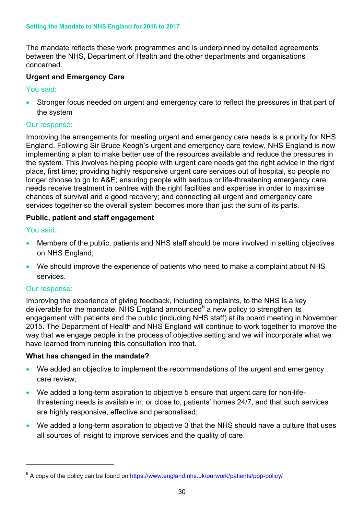The mandate reflects these work programmes and is underpinned by detailed agreements between the NHS, Department of Health and the other departments and organisations concerned.

# **Urgent and Emergency Care**

# You said:

Stronger focus needed on urgent and emergency care to reflect the pressures in that part of the system

### Our response:

Improving the arrangements for meeting urgent and emergency care needs is a priority for NHS England. Following Sir Bruce Keogh's urgent and emergency care review, NHS England is now implementing a plan to make better use of the resources available and reduce the pressures in the system. This involves helping people with urgent care needs get the right advice in the right place, first time; providing highly responsive urgent care services out of hospital, so people no longer choose to go to A&E; ensuring people with serious or life-threatening emergency care needs receive treatment in centres with the right facilities and expertise in order to maximise chances of survival and a good recovery; and connecting all urgent and emergency care services together so the overall system becomes more than just the sum of its parts.

# **Public, patient and staff engagement**

# You said:

- Members of the public, patients and NHS staff should be more involved in setting objectives on NHS England;
- We should improve the experience of patients who need to make a complaint about NHS services.

### Our response:

 $\overline{a}$ 

Improving the experience of giving feedback, including complaints, to the NHS is a key deliverable for the mandate. NHS England announced<sup>[6](#page-13-0)</sup> a new policy to strengthen its engagement with patients and the public (including NHS staff) at its board meeting in November 2015. The Department of Health and NHS England will continue to work together to improve the way that we engage people in the process of objective setting and we will incorporate what we have learned from running this consultation into that.

# **What has changed in the mandate?**

- We added an objective to implement the recommendations of the urgent and emergency care review;
- We added a long-term aspiration to objective 5 ensure that urgent care for non-lifethreatening needs is available in, or close to, patients' homes 24/7, and that such services are highly responsive, effective and personalised;
- We added a long-term aspiration to objective 3 that the NHS should have a culture that uses all sources of insight to improve services and the quality of care.

 $6$  A copy of the policy can be found on https://www.england.nhs.uk/ourwork/patients/ppp-policy/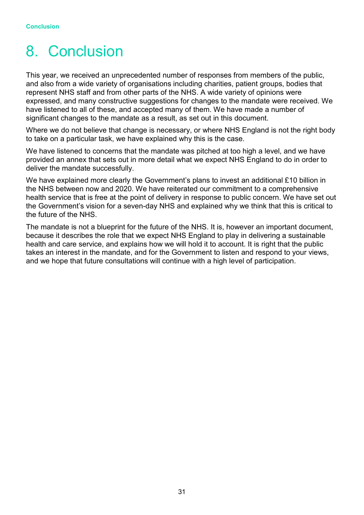# <span id="page-30-0"></span>8. Conclusion

This year, we received an unprecedented number of responses from members of the public, and also from a wide variety of organisations including charities, patient groups, bodies that represent NHS staff and from other parts of the NHS. A wide variety of opinions were expressed, and many constructive suggestions for changes to the mandate were received. We have listened to all of these, and accepted many of them. We have made a number of significant changes to the mandate as a result, as set out in this document.

Where we do not believe that change is necessary, or where NHS England is not the right body to take on a particular task, we have explained why this is the case.

We have listened to concerns that the mandate was pitched at too high a level, and we have provided an annex that sets out in more detail what we expect NHS England to do in order to deliver the mandate successfully.

We have explained more clearly the Government's plans to invest an additional £10 billion in the NHS between now and 2020. We have reiterated our commitment to a comprehensive health service that is free at the point of delivery in response to public concern. We have set out the Government's vision for a seven-day NHS and explained why we think that this is critical to the future of the NHS.

The mandate is not a blueprint for the future of the NHS. It is, however an important document, because it describes the role that we expect NHS England to play in delivering a sustainable health and care service, and explains how we will hold it to account. It is right that the public takes an interest in the mandate, and for the Government to listen and respond to your views, and we hope that future consultations will continue with a high level of participation.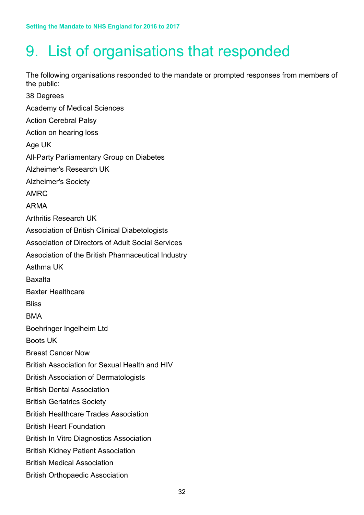# <span id="page-31-0"></span>9. List of organisations that responded

The following organisations responded to the mandate or prompted responses from members of the public:

38 Degrees Academy of Medical Sciences Action Cerebral Palsy Action on hearing loss Age UK All-Party Parliamentary Group on Diabetes Alzheimer's Research UK Alzheimer's Society AMRC ARMA Arthritis Research UK Association of British Clinical Diabetologists Association of Directors of Adult Social Services Association of the British Pharmaceutical Industry Asthma UK Baxalta Baxter Healthcare **Bliss** BMA Boehringer Ingelheim Ltd Boots UK Breast Cancer Now British Association for Sexual Health and HIV British Association of Dermatologists British Dental Association British Geriatrics Society British Healthcare Trades Association British Heart Foundation British In Vitro Diagnostics Association British Kidney Patient Association British Medical Association British Orthopaedic Association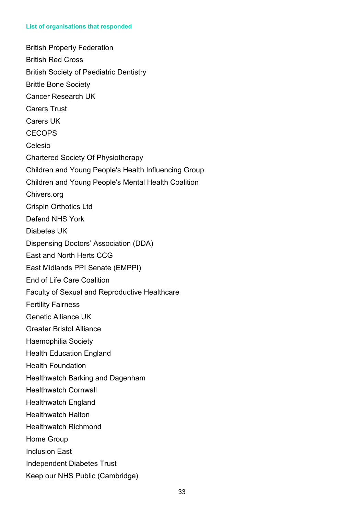#### **List of organisations that responded**

British Property Federation British Red Cross British Society of Paediatric Dentistry Brittle Bone Society Cancer Research UK Carers Trust Carers UK **CECOPS** Celesio Chartered Society Of Physiotherapy Children and Young People's Health Influencing Group Children and Young People's Mental Health Coalition Chivers.org Crispin Orthotics Ltd Defend NHS York Diabetes UK Dispensing Doctors' Association (DDA) East and North Herts CCG East Midlands PPI Senate (EMPPI) End of Life Care Coalition Faculty of Sexual and Reproductive Healthcare Fertility Fairness Genetic Alliance UK Greater Bristol Alliance Haemophilia Society Health Education England Health Foundation Healthwatch Barking and Dagenham Healthwatch Cornwall Healthwatch England Healthwatch Halton Healthwatch Richmond Home Group Inclusion East Independent Diabetes Trust Keep our NHS Public (Cambridge)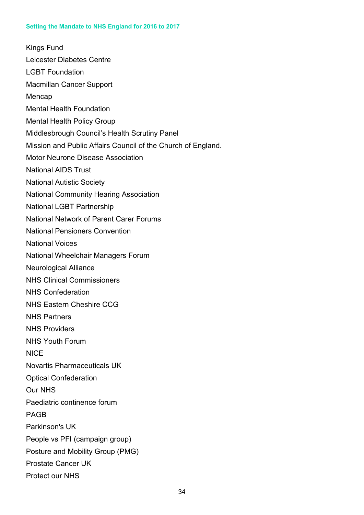Kings Fund Leicester Diabetes Centre LGBT Foundation Macmillan Cancer Support Mencap Mental Health Foundation Mental Health Policy Group Middlesbrough Council's Health Scrutiny Panel Mission and Public Affairs Council of the Church of England. Motor Neurone Disease Association National AIDS Trust National Autistic Society National Community Hearing Association National LGBT Partnership National Network of Parent Carer Forums National Pensioners Convention National Voices National Wheelchair Managers Forum Neurological Alliance NHS Clinical Commissioners NHS Confederation NHS Eastern Cheshire CCG NHS Partners NHS Providers NHS Youth Forum **NICE** Novartis Pharmaceuticals UK Optical Confederation Our NHS Paediatric continence forum PAGB Parkinson's UK People vs PFI (campaign group) Posture and Mobility Group (PMG) Prostate Cancer UK Protect our NHS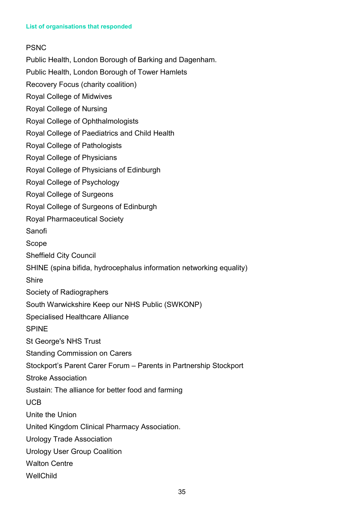# PSNC

Public Health, London Borough of Barking and Dagenham.

Public Health, London Borough of Tower Hamlets

Recovery Focus (charity coalition)

Royal College of Midwives

Royal College of Nursing

Royal College of Ophthalmologists

Royal College of Paediatrics and Child Health

Royal College of Pathologists

Royal College of Physicians

Royal College of Physicians of Edinburgh

Royal College of Psychology

Royal College of Surgeons

Royal College of Surgeons of Edinburgh

Royal Pharmaceutical Society

Sanofi

Scope

Sheffield City Council

SHINE (spina bifida, hydrocephalus information networking equality)

**Shire** 

Society of Radiographers

South Warwickshire Keep our NHS Public (SWKONP)

Specialised Healthcare Alliance

SPINE

St George's NHS Trust

Standing Commission on Carers

Stockport's Parent Carer Forum – Parents in Partnership Stockport

Stroke Association

Sustain: The alliance for better food and farming

UCB

Unite the Union

United Kingdom Clinical Pharmacy Association.

Urology Trade Association

Urology User Group Coalition

Walton Centre

**WellChild**